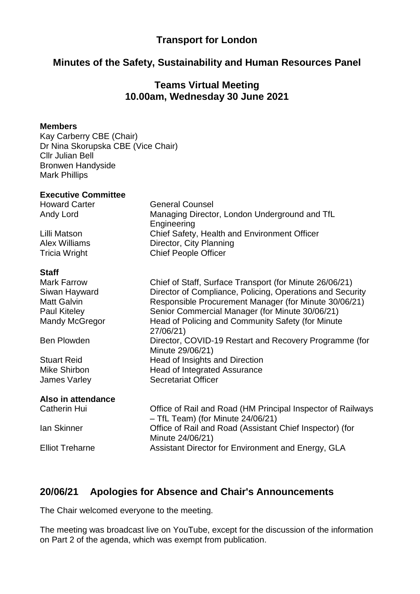# **Transport for London**

# **Minutes of the Safety, Sustainability and Human Resources Panel**

## **Teams Virtual Meeting 10.00am, Wednesday 30 June 2021**

#### **Members**

Kay Carberry CBE (Chair) Dr Nina Skorupska CBE (Vice Chair) Cllr Julian Bell Bronwen Handyside Mark Phillips

#### **Executive Committee**

Howard Carter **General Counsel** Andy Lord Managing Director, London Underground and TfL

Lilli Matson Chief Safety, Health and Environment Officer Alex Williams Director, City Planning Tricia Wright Chief People Officer

#### **Staff**

Mark Farrow Chief of Staff, Surface Transport (for Minute 26/06/21) Siwan Hayward Director of Compliance, Policing, Operations and Security Matt Galvin **Responsible Procurement Manager (for Minute 30/06/21)** Paul Kiteley Senior Commercial Manager (for Minute 30/06/21) Mandy McGregor Head of Policing and Community Safety (for Minute 27/06/21) Ben Plowden **Director, COVID-19 Restart and Recovery Programme (for** Minute 29/06/21) Stuart Reid **Head of Insights and Direction** Mike Shirbon **Head of Integrated Assurance** James Varley Secretariat Officer **Also in attendance** Catherin Hui Office of Rail and Road (HM Principal Inspector of Railways – TfL Team) (for Minute 24/06/21)

Engineering

Ian Skinner Office of Rail and Road (Assistant Chief Inspector) (for Minute 24/06/21) Elliot Treharne **Assistant Director for Environment and Energy, GLA** 

# **20/06/21 Apologies for Absence and Chair's Announcements**

The Chair welcomed everyone to the meeting.

The meeting was broadcast live on YouTube, except for the discussion of the information on Part 2 of the agenda, which was exempt from publication.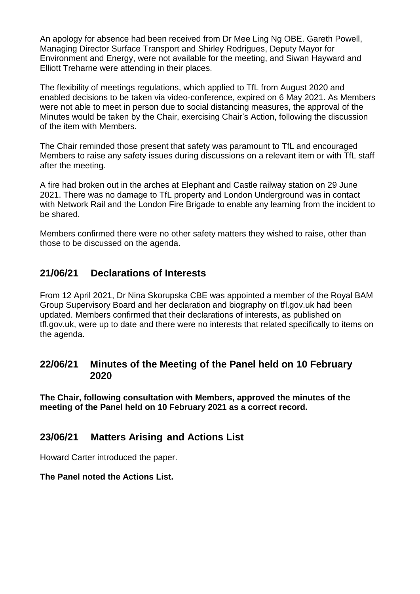An apology for absence had been received from Dr Mee Ling Ng OBE. Gareth Powell, Managing Director Surface Transport and Shirley Rodrigues, Deputy Mayor for Environment and Energy, were not available for the meeting, and Siwan Hayward and Elliott Treharne were attending in their places.

The flexibility of meetings regulations, which applied to TfL from August 2020 and enabled decisions to be taken via video-conference, expired on 6 May 2021. As Members were not able to meet in person due to social distancing measures, the approval of the Minutes would be taken by the Chair, exercising Chair's Action, following the discussion of the item with Members.

The Chair reminded those present that safety was paramount to TfL and encouraged Members to raise any safety issues during discussions on a relevant item or with TfL staff after the meeting.

A fire had broken out in the arches at Elephant and Castle railway station on 29 June 2021. There was no damage to TfL property and London Underground was in contact with Network Rail and the London Fire Brigade to enable any learning from the incident to be shared.

Members confirmed there were no other safety matters they wished to raise, other than those to be discussed on the agenda.

### **21/06/21 Declarations of Interests**

From 12 April 2021, Dr Nina Skorupska CBE was appointed a member of the Royal BAM Group Supervisory Board and her declaration and biography on tfl.gov.uk had been updated. Members confirmed that their declarations of interests, as published on tfl.gov.uk, were up to date and there were no interests that related specifically to items on the agenda.

### **22/06/21 Minutes of the Meeting of the Panel held on 10 February 2020**

**The Chair, following consultation with Members, approved the minutes of the meeting of the Panel held on 10 February 2021 as a correct record.**

#### **23/06/21 Matters Arising and Actions List**

Howard Carter introduced the paper.

#### **The Panel noted the Actions List.**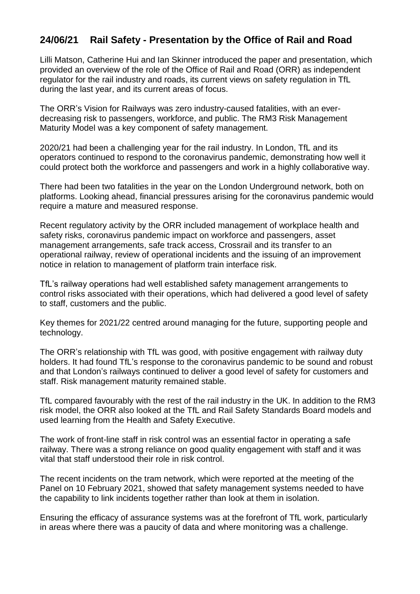# **24/06/21 Rail Safety - Presentation by the Office of Rail and Road**

Lilli Matson, Catherine Hui and Ian Skinner introduced the paper and presentation, which provided an overview of the role of the Office of Rail and Road (ORR) as independent regulator for the rail industry and roads, its current views on safety regulation in TfL during the last year, and its current areas of focus.

The ORR's Vision for Railways was zero industry-caused fatalities, with an everdecreasing risk to passengers, workforce, and public. The RM3 Risk Management Maturity Model was a key component of safety management.

2020/21 had been a challenging year for the rail industry. In London, TfL and its operators continued to respond to the coronavirus pandemic, demonstrating how well it could protect both the workforce and passengers and work in a highly collaborative way.

There had been two fatalities in the year on the London Underground network, both on platforms. Looking ahead, financial pressures arising for the coronavirus pandemic would require a mature and measured response.

Recent regulatory activity by the ORR included management of workplace health and safety risks, coronavirus pandemic impact on workforce and passengers, asset management arrangements, safe track access, Crossrail and its transfer to an operational railway, review of operational incidents and the issuing of an improvement notice in relation to management of platform train interface risk.

TfL's railway operations had well established safety management arrangements to control risks associated with their operations, which had delivered a good level of safety to staff, customers and the public.

Key themes for 2021/22 centred around managing for the future, supporting people and technology.

The ORR's relationship with TfL was good, with positive engagement with railway duty holders. It had found TfL's response to the coronavirus pandemic to be sound and robust and that London's railways continued to deliver a good level of safety for customers and staff. Risk management maturity remained stable.

TfL compared favourably with the rest of the rail industry in the UK. In addition to the RM3 risk model, the ORR also looked at the TfL and Rail Safety Standards Board models and used learning from the Health and Safety Executive.

The work of front-line staff in risk control was an essential factor in operating a safe railway. There was a strong reliance on good quality engagement with staff and it was vital that staff understood their role in risk control.

The recent incidents on the tram network, which were reported at the meeting of the Panel on 10 February 2021, showed that safety management systems needed to have the capability to link incidents together rather than look at them in isolation.

Ensuring the efficacy of assurance systems was at the forefront of TfL work, particularly in areas where there was a paucity of data and where monitoring was a challenge.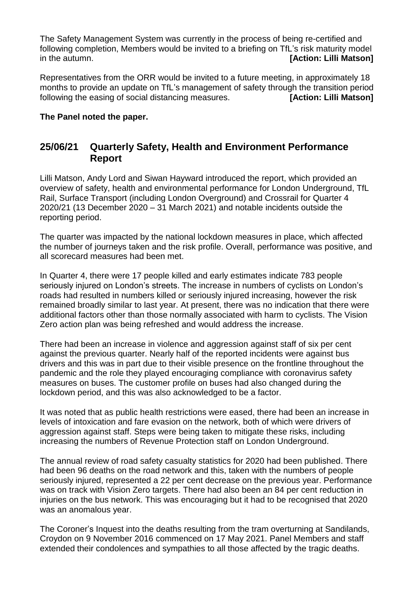The Safety Management System was currently in the process of being re-certified and following completion, Members would be invited to a briefing on TfL's risk maturity model in the autumn. *in the autumn*.

Representatives from the ORR would be invited to a future meeting, in approximately 18 months to provide an update on TfL's management of safety through the transition period following the easing of social distancing measures. **[Action: Lilli Matson]**

#### **The Panel noted the paper.**

### **25/06/21 Quarterly Safety, Health and Environment Performance Report**

Lilli Matson, Andy Lord and Siwan Hayward introduced the report, which provided an overview of safety, health and environmental performance for London Underground, TfL Rail, Surface Transport (including London Overground) and Crossrail for Quarter 4 2020/21 (13 December 2020 – 31 March 2021) and notable incidents outside the reporting period.

The quarter was impacted by the national lockdown measures in place, which affected the number of journeys taken and the risk profile. Overall, performance was positive, and all scorecard measures had been met.

In Quarter 4, there were 17 people killed and early estimates indicate 783 people seriously injured on London's streets. The increase in numbers of cyclists on London's roads had resulted in numbers killed or seriously injured increasing, however the risk remained broadly similar to last year. At present, there was no indication that there were additional factors other than those normally associated with harm to cyclists. The Vision Zero action plan was being refreshed and would address the increase.

There had been an increase in violence and aggression against staff of six per cent against the previous quarter. Nearly half of the reported incidents were against bus drivers and this was in part due to their visible presence on the frontline throughout the pandemic and the role they played encouraging compliance with coronavirus safety measures on buses. The customer profile on buses had also changed during the lockdown period, and this was also acknowledged to be a factor.

It was noted that as public health restrictions were eased, there had been an increase in levels of intoxication and fare evasion on the network, both of which were drivers of aggression against staff. Steps were being taken to mitigate these risks, including increasing the numbers of Revenue Protection staff on London Underground.

The annual review of road safety casualty statistics for 2020 had been published. There had been 96 deaths on the road network and this, taken with the numbers of people seriously injured, represented a 22 per cent decrease on the previous year. Performance was on track with Vision Zero targets. There had also been an 84 per cent reduction in injuries on the bus network. This was encouraging but it had to be recognised that 2020 was an anomalous year.

The Coroner's Inquest into the deaths resulting from the tram overturning at Sandilands, Croydon on 9 November 2016 commenced on 17 May 2021. Panel Members and staff extended their condolences and sympathies to all those affected by the tragic deaths.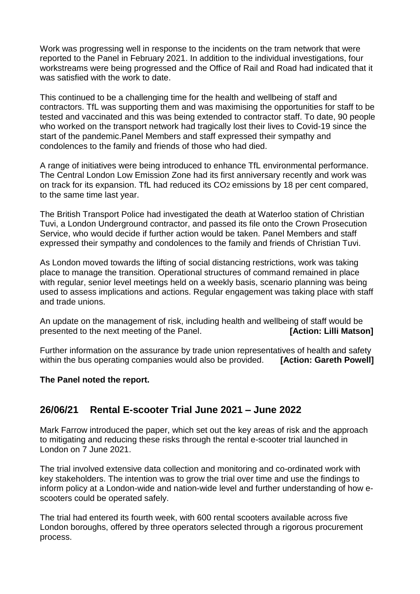Work was progressing well in response to the incidents on the tram network that were reported to the Panel in February 2021. In addition to the individual investigations, four workstreams were being progressed and the Office of Rail and Road had indicated that it was satisfied with the work to date.

This continued to be a challenging time for the health and wellbeing of staff and contractors. TfL was supporting them and was maximising the opportunities for staff to be tested and vaccinated and this was being extended to contractor staff. To date, 90 people who worked on the transport network had tragically lost their lives to Covid-19 since the start of the pandemic.Panel Members and staff expressed their sympathy and condolences to the family and friends of those who had died.

A range of initiatives were being introduced to enhance TfL environmental performance. The Central London Low Emission Zone had its first anniversary recently and work was on track for its expansion. TfL had reduced its CO2 emissions by 18 per cent compared, to the same time last year.

The British Transport Police had investigated the death at Waterloo station of Christian Tuvi, a London Underground contractor, and passed its file onto the Crown Prosecution Service, who would decide if further action would be taken. Panel Members and staff expressed their sympathy and condolences to the family and friends of Christian Tuvi.

As London moved towards the lifting of social distancing restrictions, work was taking place to manage the transition. Operational structures of command remained in place with regular, senior level meetings held on a weekly basis, scenario planning was being used to assess implications and actions. Regular engagement was taking place with staff and trade unions.

An update on the management of risk, including health and wellbeing of staff would be presented to the next meeting of the Panel. **[Action: Lilli Matson]**

Further information on the assurance by trade union representatives of health and safety within the bus operating companies would also be provided. **[Action: Gareth Powell]** 

#### **The Panel noted the report.**

# **26/06/21 Rental E-scooter Trial June 2021 – June 2022**

Mark Farrow introduced the paper, which set out the key areas of risk and the approach to mitigating and reducing these risks through the rental e-scooter trial launched in London on 7 June 2021.

The trial involved extensive data collection and monitoring and co-ordinated work with key stakeholders. The intention was to grow the trial over time and use the findings to inform policy at a London-wide and nation-wide level and further understanding of how escooters could be operated safely.

The trial had entered its fourth week, with 600 rental scooters available across five London boroughs, offered by three operators selected through a rigorous procurement process.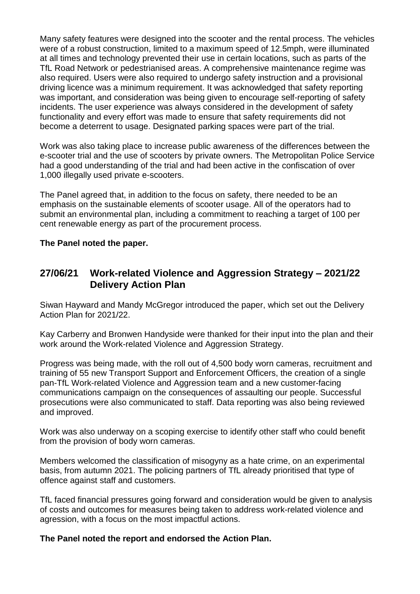Many safety features were designed into the scooter and the rental process. The vehicles were of a robust construction, limited to a maximum speed of 12.5mph, were illuminated at all times and technology prevented their use in certain locations, such as parts of the TfL Road Network or pedestrianised areas. A comprehensive maintenance regime was also required. Users were also required to undergo safety instruction and a provisional driving licence was a minimum requirement. It was acknowledged that safety reporting was important, and consideration was being given to encourage self-reporting of safety incidents. The user experience was always considered in the development of safety functionality and every effort was made to ensure that safety requirements did not become a deterrent to usage. Designated parking spaces were part of the trial.

Work was also taking place to increase public awareness of the differences between the e-scooter trial and the use of scooters by private owners. The Metropolitan Police Service had a good understanding of the trial and had been active in the confiscation of over 1,000 illegally used private e-scooters.

The Panel agreed that, in addition to the focus on safety, there needed to be an emphasis on the sustainable elements of scooter usage. All of the operators had to submit an environmental plan, including a commitment to reaching a target of 100 per cent renewable energy as part of the procurement process.

#### **The Panel noted the paper.**

# **27/06/21 Work-related Violence and Aggression Strategy – 2021/22 Delivery Action Plan**

Siwan Hayward and Mandy McGregor introduced the paper, which set out the Delivery Action Plan for 2021/22.

Kay Carberry and Bronwen Handyside were thanked for their input into the plan and their work around the Work-related Violence and Aggression Strategy.

Progress was being made, with the roll out of 4,500 body worn cameras, recruitment and training of 55 new Transport Support and Enforcement Officers, the creation of a single pan-TfL Work-related Violence and Aggression team and a new customer-facing communications campaign on the consequences of assaulting our people. Successful prosecutions were also communicated to staff. Data reporting was also being reviewed and improved.

Work was also underway on a scoping exercise to identify other staff who could benefit from the provision of body worn cameras.

Members welcomed the classification of misogyny as a hate crime, on an experimental basis, from autumn 2021. The policing partners of TfL already prioritised that type of offence against staff and customers.

TfL faced financial pressures going forward and consideration would be given to analysis of costs and outcomes for measures being taken to address work-related violence and agression, with a focus on the most impactful actions.

#### **The Panel noted the report and endorsed the Action Plan.**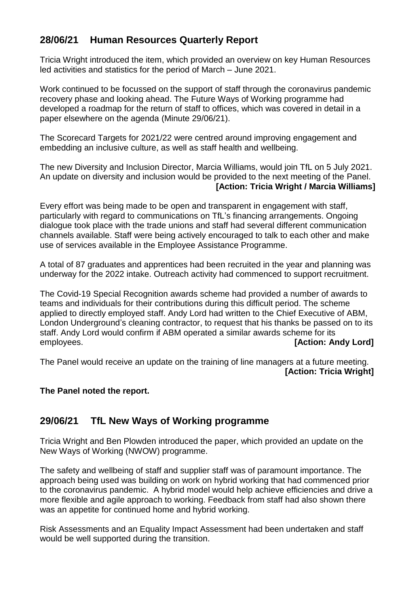# **28/06/21 Human Resources Quarterly Report**

Tricia Wright introduced the item, which provided an overview on key Human Resources led activities and statistics for the period of March – June 2021.

Work continued to be focussed on the support of staff through the coronavirus pandemic recovery phase and looking ahead. The Future Ways of Working programme had developed a roadmap for the return of staff to offices, which was covered in detail in a paper elsewhere on the agenda (Minute 29/06/21).

The Scorecard Targets for 2021/22 were centred around improving engagement and embedding an inclusive culture, as well as staff health and wellbeing.

The new Diversity and Inclusion Director, Marcia Williams, would join TfL on 5 July 2021. An update on diversity and inclusion would be provided to the next meeting of the Panel. **[Action: Tricia Wright / Marcia Williams]**

Every effort was being made to be open and transparent in engagement with staff, particularly with regard to communications on TfL's financing arrangements. Ongoing dialogue took place with the trade unions and staff had several different communication channels available. Staff were being actively encouraged to talk to each other and make use of services available in the Employee Assistance Programme.

A total of 87 graduates and apprentices had been recruited in the year and planning was underway for the 2022 intake. Outreach activity had commenced to support recruitment.

The Covid-19 Special Recognition awards scheme had provided a number of awards to teams and individuals for their contributions during this difficult period. The scheme applied to directly employed staff. Andy Lord had written to the Chief Executive of ABM, London Underground's cleaning contractor, to request that his thanks be passed on to its staff. Andy Lord would confirm if ABM operated a similar awards scheme for its employees. **[Action: Andy Lord]**

The Panel would receive an update on the training of line managers at a future meeting. **[Action: Tricia Wright]**

#### **The Panel noted the report.**

#### **29/06/21 TfL New Ways of Working programme**

Tricia Wright and Ben Plowden introduced the paper, which provided an update on the New Ways of Working (NWOW) programme.

The safety and wellbeing of staff and supplier staff was of paramount importance. The approach being used was building on work on hybrid working that had commenced prior to the coronavirus pandemic. A hybrid model would help achieve efficiencies and drive a more flexible and agile approach to working. Feedback from staff had also shown there was an appetite for continued home and hybrid working.

Risk Assessments and an Equality Impact Assessment had been undertaken and staff would be well supported during the transition.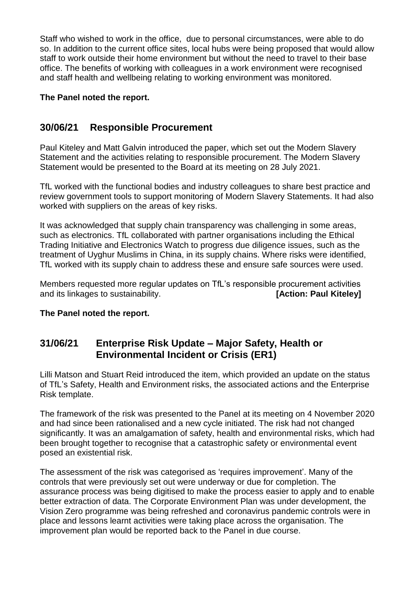Staff who wished to work in the office, due to personal circumstances, were able to do so. In addition to the current office sites, local hubs were being proposed that would allow staff to work outside their home environment but without the need to travel to their base office. The benefits of working with colleagues in a work environment were recognised and staff health and wellbeing relating to working environment was monitored.

#### **The Panel noted the report.**

# **30/06/21 Responsible Procurement**

Paul Kiteley and Matt Galvin introduced the paper, which set out the Modern Slavery Statement and the activities relating to responsible procurement. The Modern Slavery Statement would be presented to the Board at its meeting on 28 July 2021.

TfL worked with the functional bodies and industry colleagues to share best practice and review government tools to support monitoring of Modern Slavery Statements. It had also worked with suppliers on the areas of key risks.

It was acknowledged that supply chain transparency was challenging in some areas, such as electronics. TfL collaborated with partner organisations including the Ethical Trading Initiative and Electronics Watch to progress due diligence issues, such as the treatment of Uyghur Muslims in China, in its supply chains. Where risks were identified, TfL worked with its supply chain to address these and ensure safe sources were used.

Members requested more regular updates on TfL's responsible procurement activities and its linkages to sustainability. *CONDER 18* **EXECUTE: [Action: Paul Kiteley]** 

#### **The Panel noted the report.**

# **31/06/21 Enterprise Risk Update – Major Safety, Health or Environmental Incident or Crisis (ER1)**

Lilli Matson and Stuart Reid introduced the item, which provided an update on the status of TfL's Safety, Health and Environment risks, the associated actions and the Enterprise Risk template.

The framework of the risk was presented to the Panel at its meeting on 4 November 2020 and had since been rationalised and a new cycle initiated. The risk had not changed significantly. It was an amalgamation of safety, health and environmental risks, which had been brought together to recognise that a catastrophic safety or environmental event posed an existential risk.

The assessment of the risk was categorised as 'requires improvement'. Many of the controls that were previously set out were underway or due for completion. The assurance process was being digitised to make the process easier to apply and to enable better extraction of data. The Corporate Environment Plan was under development, the Vision Zero programme was being refreshed and coronavirus pandemic controls were in place and lessons learnt activities were taking place across the organisation. The improvement plan would be reported back to the Panel in due course.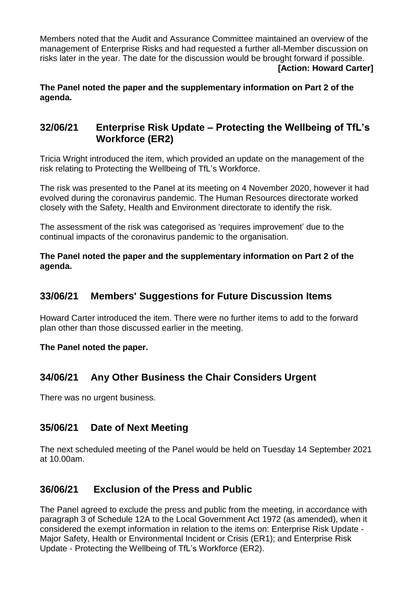Members noted that the Audit and Assurance Committee maintained an overview of the management of Enterprise Risks and had requested a further all-Member discussion on risks later in the year. The date for the discussion would be brought forward if possible. **[Action: Howard Carter]**

**The Panel noted the paper and the supplementary information on Part 2 of the agenda.**

# **32/06/21 Enterprise Risk Update – Protecting the Wellbeing of TfL's Workforce (ER2)**

Tricia Wright introduced the item, which provided an update on the management of the risk relating to Protecting the Wellbeing of TfL's Workforce.

The risk was presented to the Panel at its meeting on 4 November 2020, however it had evolved during the coronavirus pandemic. The Human Resources directorate worked closely with the Safety, Health and Environment directorate to identify the risk.

The assessment of the risk was categorised as 'requires improvement' due to the continual impacts of the coronavirus pandemic to the organisation.

**The Panel noted the paper and the supplementary information on Part 2 of the agenda.**

## **33/06/21 Members' Suggestions for Future Discussion Items**

Howard Carter introduced the item. There were no further items to add to the forward plan other than those discussed earlier in the meeting.

**The Panel noted the paper.**

# **34/06/21 Any Other Business the Chair Considers Urgent**

There was no urgent business.

#### **35/06/21 Date of Next Meeting**

The next scheduled meeting of the Panel would be held on Tuesday 14 September 2021 at 10.00am.

# **36/06/21 Exclusion of the Press and Public**

The Panel agreed to exclude the press and public from the meeting, in accordance with paragraph 3 of Schedule 12A to the Local Government Act 1972 (as amended), when it considered the exempt information in relation to the items on: Enterprise Risk Update - Major Safety, Health or Environmental Incident or Crisis (ER1); and Enterprise Risk Update - Protecting the Wellbeing of TfL's Workforce (ER2).